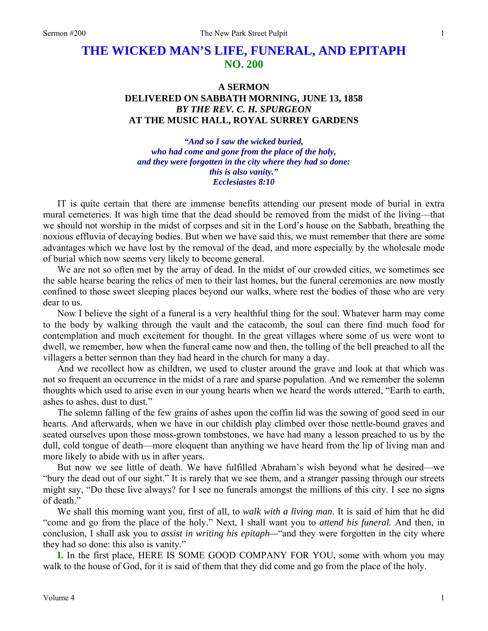## **THE WICKED MAN'S LIFE, FUNERAL, AND EPITAPH NO. 200**

## **A SERMON DELIVERED ON SABBATH MORNING, JUNE 13, 1858**  *BY THE REV. C. H. SPURGEON*  **AT THE MUSIC HALL, ROYAL SURREY GARDENS**

*"And so I saw the wicked buried, who had come and gone from the place of the holy, and they were forgotten in the city where they had so done: this is also vanity." Ecclesiastes 8:10* 

IT is quite certain that there are immense benefits attending our present mode of burial in extra mural cemeteries. It was high time that the dead should be removed from the midst of the living—that we should not worship in the midst of corpses and sit in the Lord's house on the Sabbath, breathing the noxious effluvia of decaying bodies. But when we have said this, we must remember that there are some advantages which we have lost by the removal of the dead, and more especially by the wholesale mode of burial which now seems very likely to become general.

We are not so often met by the array of dead. In the midst of our crowded cities, we sometimes see the sable hearse bearing the relics of men to their last homes, but the funeral ceremonies are now mostly confined to those sweet sleeping places beyond our walks, where rest the bodies of those who are very dear to us.

Now I believe the sight of a funeral is a very healthful thing for the soul. Whatever harm may come to the body by walking through the vault and the catacomb, the soul can there find much food for contemplation and much excitement for thought. In the great villages where some of us were wont to dwell, we remember, how when the funeral came now and then, the tolling of the bell preached to all the villagers a better sermon than they had heard in the church for many a day.

And we recollect how as children, we used to cluster around the grave and look at that which was not so frequent an occurrence in the midst of a rare and sparse population. And we remember the solemn thoughts which used to arise even in our young hearts when we heard the words uttered, "Earth to earth, ashes to ashes, dust to dust."

The solemn falling of the few grains of ashes upon the coffin lid was the sowing of good seed in our hearts. And afterwards, when we have in our childish play climbed over those nettle-bound graves and seated ourselves upon those moss-grown tombstones, we have had many a lesson preached to us by the dull, cold tongue of death—more eloquent than anything we have heard from the lip of living man and more likely to abide with us in after years.

But now we see little of death. We have fulfilled Abraham's wish beyond what he desired—we "bury the dead out of our sight." It is rarely that we see them, and a stranger passing through our streets might say, "Do these live always? for I see no funerals amongst the millions of this city. I see no signs of death."

We shall this morning want you, first of all, to *walk with a living man*. It is said of him that he did "come and go from the place of the holy." Next, I shall want you to *attend his funeral.* And then, in conclusion, I shall ask you to *assist in writing his epitaph—*"and they were forgotten in the city where they had so done: this also is vanity."

**I.** In the first place, HERE IS SOME GOOD COMPANY FOR YOU, some with whom you may walk to the house of God, for it is said of them that they did come and go from the place of the holy.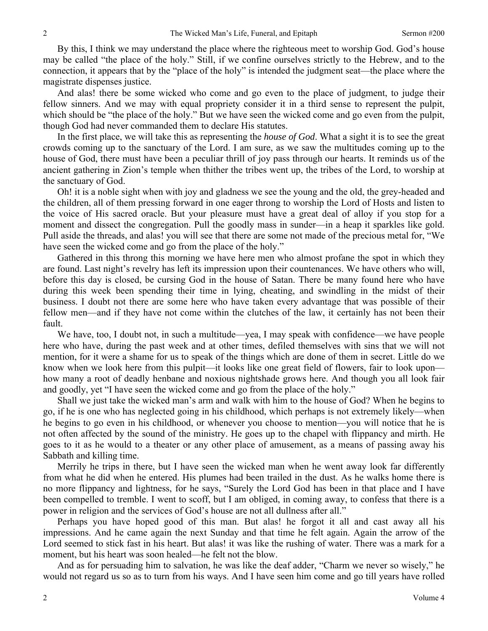By this, I think we may understand the place where the righteous meet to worship God. God's house may be called "the place of the holy." Still, if we confine ourselves strictly to the Hebrew, and to the connection, it appears that by the "place of the holy" is intended the judgment seat—the place where the magistrate dispenses justice.

And alas! there be some wicked who come and go even to the place of judgment, to judge their fellow sinners. And we may with equal propriety consider it in a third sense to represent the pulpit, which should be "the place of the holy." But we have seen the wicked come and go even from the pulpit, though God had never commanded them to declare His statutes.

In the first place, we will take this as representing the *house of God*. What a sight it is to see the great crowds coming up to the sanctuary of the Lord. I am sure, as we saw the multitudes coming up to the house of God, there must have been a peculiar thrill of joy pass through our hearts. It reminds us of the ancient gathering in Zion's temple when thither the tribes went up, the tribes of the Lord, to worship at the sanctuary of God.

Oh! it is a noble sight when with joy and gladness we see the young and the old, the grey-headed and the children, all of them pressing forward in one eager throng to worship the Lord of Hosts and listen to the voice of His sacred oracle. But your pleasure must have a great deal of alloy if you stop for a moment and dissect the congregation. Pull the goodly mass in sunder—in a heap it sparkles like gold. Pull aside the threads, and alas! you will see that there are some not made of the precious metal for, "We have seen the wicked come and go from the place of the holy."

Gathered in this throng this morning we have here men who almost profane the spot in which they are found. Last night's revelry has left its impression upon their countenances. We have others who will, before this day is closed, be cursing God in the house of Satan. There be many found here who have during this week been spending their time in lying, cheating, and swindling in the midst of their business. I doubt not there are some here who have taken every advantage that was possible of their fellow men—and if they have not come within the clutches of the law, it certainly has not been their fault.

We have, too, I doubt not, in such a multitude—yea, I may speak with confidence—we have people here who have, during the past week and at other times, defiled themselves with sins that we will not mention, for it were a shame for us to speak of the things which are done of them in secret. Little do we know when we look here from this pulpit—it looks like one great field of flowers, fair to look upon how many a root of deadly henbane and noxious nightshade grows here. And though you all look fair and goodly, yet "I have seen the wicked come and go from the place of the holy."

Shall we just take the wicked man's arm and walk with him to the house of God? When he begins to go, if he is one who has neglected going in his childhood, which perhaps is not extremely likely—when he begins to go even in his childhood, or whenever you choose to mention—you will notice that he is not often affected by the sound of the ministry. He goes up to the chapel with flippancy and mirth. He goes to it as he would to a theater or any other place of amusement, as a means of passing away his Sabbath and killing time.

Merrily he trips in there, but I have seen the wicked man when he went away look far differently from what he did when he entered. His plumes had been trailed in the dust. As he walks home there is no more flippancy and lightness, for he says, "Surely the Lord God has been in that place and I have been compelled to tremble. I went to scoff, but I am obliged, in coming away, to confess that there is a power in religion and the services of God's house are not all dullness after all."

Perhaps you have hoped good of this man. But alas! he forgot it all and cast away all his impressions. And he came again the next Sunday and that time he felt again. Again the arrow of the Lord seemed to stick fast in his heart. But alas! it was like the rushing of water. There was a mark for a moment, but his heart was soon healed—he felt not the blow.

And as for persuading him to salvation, he was like the deaf adder, "Charm we never so wisely," he would not regard us so as to turn from his ways. And I have seen him come and go till years have rolled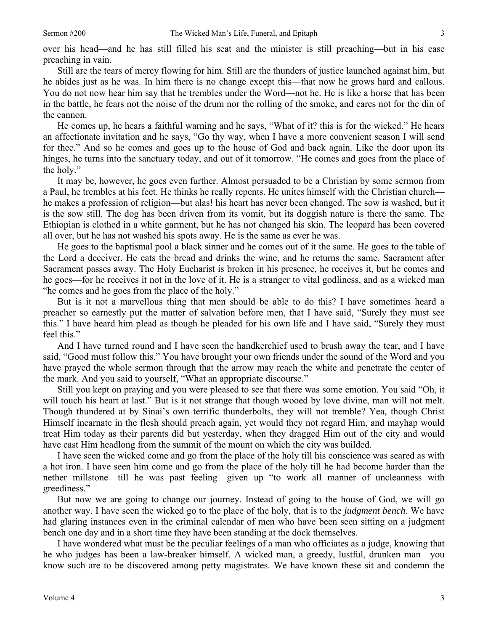over his head—and he has still filled his seat and the minister is still preaching—but in his case preaching in vain.

Still are the tears of mercy flowing for him. Still are the thunders of justice launched against him, but he abides just as he was. In him there is no change except this—that now he grows hard and callous. You do not now hear him say that he trembles under the Word—not he. He is like a horse that has been in the battle, he fears not the noise of the drum nor the rolling of the smoke, and cares not for the din of the cannon.

He comes up, he hears a faithful warning and he says, "What of it? this is for the wicked." He hears an affectionate invitation and he says, "Go thy way, when I have a more convenient season I will send for thee." And so he comes and goes up to the house of God and back again. Like the door upon its hinges, he turns into the sanctuary today, and out of it tomorrow. "He comes and goes from the place of the holy."

It may be, however, he goes even further. Almost persuaded to be a Christian by some sermon from a Paul, he trembles at his feet. He thinks he really repents. He unites himself with the Christian church he makes a profession of religion—but alas! his heart has never been changed. The sow is washed, but it is the sow still. The dog has been driven from its vomit, but its doggish nature is there the same. The Ethiopian is clothed in a white garment, but he has not changed his skin. The leopard has been covered all over, but he has not washed his spots away. He is the same as ever he was.

He goes to the baptismal pool a black sinner and he comes out of it the same. He goes to the table of the Lord a deceiver. He eats the bread and drinks the wine, and he returns the same. Sacrament after Sacrament passes away. The Holy Eucharist is broken in his presence, he receives it, but he comes and he goes—for he receives it not in the love of it. He is a stranger to vital godliness, and as a wicked man "he comes and he goes from the place of the holy."

But is it not a marvellous thing that men should be able to do this? I have sometimes heard a preacher so earnestly put the matter of salvation before men, that I have said, "Surely they must see this." I have heard him plead as though he pleaded for his own life and I have said, "Surely they must feel this."

And I have turned round and I have seen the handkerchief used to brush away the tear, and I have said, "Good must follow this." You have brought your own friends under the sound of the Word and you have prayed the whole sermon through that the arrow may reach the white and penetrate the center of the mark. And you said to yourself, "What an appropriate discourse."

Still you kept on praying and you were pleased to see that there was some emotion. You said "Oh, it will touch his heart at last." But is it not strange that though wooed by love divine, man will not melt. Though thundered at by Sinai's own terrific thunderbolts, they will not tremble? Yea, though Christ Himself incarnate in the flesh should preach again, yet would they not regard Him, and mayhap would treat Him today as their parents did but yesterday, when they dragged Him out of the city and would have cast Him headlong from the summit of the mount on which the city was builded.

I have seen the wicked come and go from the place of the holy till his conscience was seared as with a hot iron. I have seen him come and go from the place of the holy till he had become harder than the nether millstone—till he was past feeling—given up "to work all manner of uncleanness with greediness."

But now we are going to change our journey. Instead of going to the house of God, we will go another way. I have seen the wicked go to the place of the holy, that is to the *judgment bench*. We have had glaring instances even in the criminal calendar of men who have been seen sitting on a judgment bench one day and in a short time they have been standing at the dock themselves.

I have wondered what must be the peculiar feelings of a man who officiates as a judge, knowing that he who judges has been a law-breaker himself. A wicked man, a greedy, lustful, drunken man—you know such are to be discovered among petty magistrates. We have known these sit and condemn the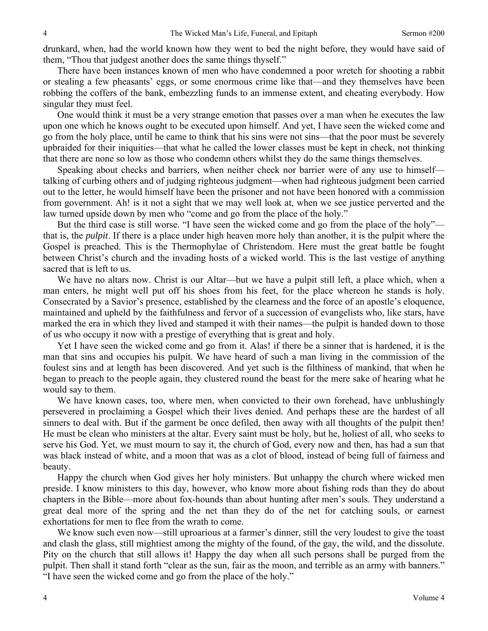drunkard, when, had the world known how they went to bed the night before, they would have said of them, "Thou that judgest another does the same things thyself."

There have been instances known of men who have condemned a poor wretch for shooting a rabbit or stealing a few pheasants' eggs, or some enormous crime like that—and they themselves have been robbing the coffers of the bank, embezzling funds to an immense extent, and cheating everybody. How singular they must feel.

One would think it must be a very strange emotion that passes over a man when he executes the law upon one which he knows ought to be executed upon himself. And yet, I have seen the wicked come and go from the holy place, until he came to think that his sins were not sins—that the poor must be severely upbraided for their iniquities—that what he called the lower classes must be kept in check, not thinking that there are none so low as those who condemn others whilst they do the same things themselves.

Speaking about checks and barriers, when neither check nor barrier were of any use to himself talking of curbing others and of judging righteous judgment—when had righteous judgment been carried out to the letter, he would himself have been the prisoner and not have been honored with a commission from government. Ah! is it not a sight that we may well look at, when we see justice perverted and the law turned upside down by men who "come and go from the place of the holy."

But the third case is still worse. "I have seen the wicked come and go from the place of the holy" that is, the *pulpit*. If there is a place under high heaven more holy than another, it is the pulpit where the Gospel is preached. This is the Thermophylae of Christendom. Here must the great battle be fought between Christ's church and the invading hosts of a wicked world. This is the last vestige of anything sacred that is left to us.

We have no altars now. Christ is our Altar—but we have a pulpit still left, a place which, when a man enters, he might well put off his shoes from his feet, for the place whereon he stands is holy. Consecrated by a Savior's presence, established by the clearness and the force of an apostle's eloquence, maintained and upheld by the faithfulness and fervor of a succession of evangelists who, like stars, have marked the era in which they lived and stamped it with their names—the pulpit is handed down to those of us who occupy it now with a prestige of everything that is great and holy.

Yet I have seen the wicked come and go from it. Alas! if there be a sinner that is hardened, it is the man that sins and occupies his pulpit. We have heard of such a man living in the commission of the foulest sins and at length has been discovered. And yet such is the filthiness of mankind, that when he began to preach to the people again, they clustered round the beast for the mere sake of hearing what he would say to them.

We have known cases, too, where men, when convicted to their own forehead, have unblushingly persevered in proclaiming a Gospel which their lives denied. And perhaps these are the hardest of all sinners to deal with. But if the garment be once defiled, then away with all thoughts of the pulpit then! He must be clean who ministers at the altar. Every saint must be holy, but he, holiest of all, who seeks to serve his God. Yet, we must mourn to say it, the church of God, every now and then, has had a sun that was black instead of white, and a moon that was as a clot of blood, instead of being full of fairness and beauty.

Happy the church when God gives her holy ministers. But unhappy the church where wicked men preside. I know ministers to this day, however, who know more about fishing rods than they do about chapters in the Bible—more about fox-hounds than about hunting after men's souls. They understand a great deal more of the spring and the net than they do of the net for catching souls, or earnest exhortations for men to flee from the wrath to come.

We know such even now—still uproarious at a farmer's dinner, still the very loudest to give the toast and clash the glass, still mightiest among the mighty of the found, of the gay, the wild, and the dissolute. Pity on the church that still allows it! Happy the day when all such persons shall be purged from the pulpit. Then shall it stand forth "clear as the sun, fair as the moon, and terrible as an army with banners." "I have seen the wicked come and go from the place of the holy."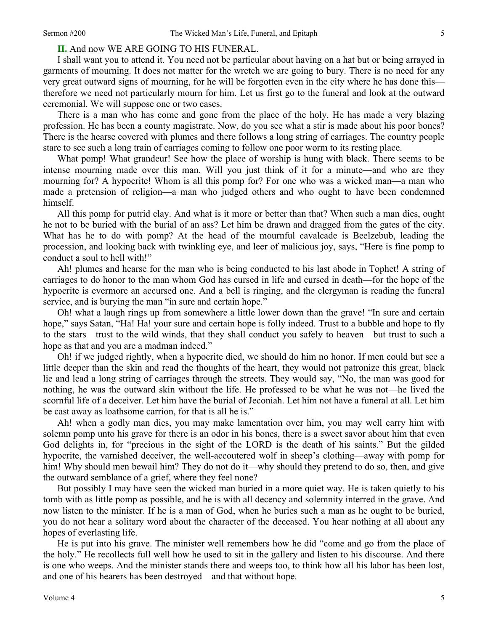## **II.** And now WE ARE GOING TO HIS FUNERAL.

I shall want you to attend it. You need not be particular about having on a hat but or being arrayed in garments of mourning. It does not matter for the wretch we are going to bury. There is no need for any very great outward signs of mourning, for he will be forgotten even in the city where he has done this therefore we need not particularly mourn for him. Let us first go to the funeral and look at the outward ceremonial. We will suppose one or two cases.

There is a man who has come and gone from the place of the holy. He has made a very blazing profession. He has been a county magistrate. Now, do you see what a stir is made about his poor bones? There is the hearse covered with plumes and there follows a long string of carriages. The country people stare to see such a long train of carriages coming to follow one poor worm to its resting place.

What pomp! What grandeur! See how the place of worship is hung with black. There seems to be intense mourning made over this man. Will you just think of it for a minute—and who are they mourning for? A hypocrite! Whom is all this pomp for? For one who was a wicked man—a man who made a pretension of religion—a man who judged others and who ought to have been condemned himself.

All this pomp for putrid clay. And what is it more or better than that? When such a man dies, ought he not to be buried with the burial of an ass? Let him be drawn and dragged from the gates of the city. What has he to do with pomp? At the head of the mournful cavalcade is Beelzebub, leading the procession, and looking back with twinkling eye, and leer of malicious joy, says, "Here is fine pomp to conduct a soul to hell with!"

Ah! plumes and hearse for the man who is being conducted to his last abode in Tophet! A string of carriages to do honor to the man whom God has cursed in life and cursed in death—for the hope of the hypocrite is evermore an accursed one. And a bell is ringing, and the clergyman is reading the funeral service, and is burying the man "in sure and certain hope."

Oh! what a laugh rings up from somewhere a little lower down than the grave! "In sure and certain hope," says Satan, "Ha! Ha! your sure and certain hope is folly indeed. Trust to a bubble and hope to fly to the stars—trust to the wild winds, that they shall conduct you safely to heaven—but trust to such a hope as that and you are a madman indeed."

Oh! if we judged rightly, when a hypocrite died, we should do him no honor. If men could but see a little deeper than the skin and read the thoughts of the heart, they would not patronize this great, black lie and lead a long string of carriages through the streets. They would say, "No, the man was good for nothing, he was the outward skin without the life. He professed to be what he was not—he lived the scornful life of a deceiver. Let him have the burial of Jeconiah. Let him not have a funeral at all. Let him be cast away as loathsome carrion, for that is all he is."

Ah! when a godly man dies, you may make lamentation over him, you may well carry him with solemn pomp unto his grave for there is an odor in his bones, there is a sweet savor about him that even God delights in, for "precious in the sight of the LORD is the death of his saints." But the gilded hypocrite, the varnished deceiver, the well-accoutered wolf in sheep's clothing—away with pomp for him! Why should men bewail him? They do not do it—why should they pretend to do so, then, and give the outward semblance of a grief, where they feel none?

But possibly I may have seen the wicked man buried in a more quiet way. He is taken quietly to his tomb with as little pomp as possible, and he is with all decency and solemnity interred in the grave. And now listen to the minister. If he is a man of God, when he buries such a man as he ought to be buried, you do not hear a solitary word about the character of the deceased. You hear nothing at all about any hopes of everlasting life.

He is put into his grave. The minister well remembers how he did "come and go from the place of the holy." He recollects full well how he used to sit in the gallery and listen to his discourse. And there is one who weeps. And the minister stands there and weeps too, to think how all his labor has been lost, and one of his hearers has been destroyed—and that without hope.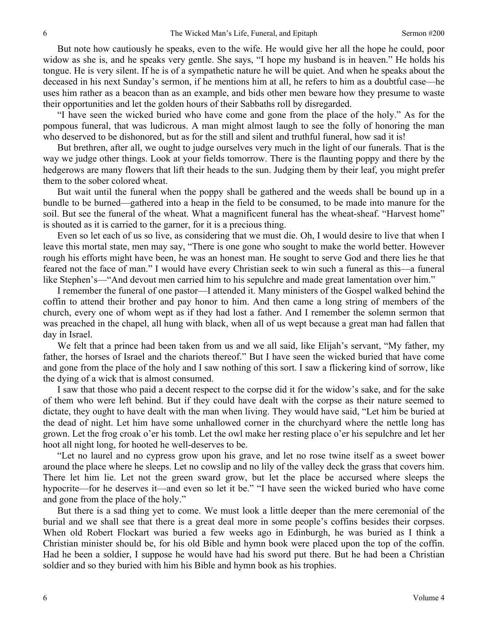But note how cautiously he speaks, even to the wife. He would give her all the hope he could, poor widow as she is, and he speaks very gentle. She says, "I hope my husband is in heaven." He holds his tongue. He is very silent. If he is of a sympathetic nature he will be quiet. And when he speaks about the deceased in his next Sunday's sermon, if he mentions him at all, he refers to him as a doubtful case—he uses him rather as a beacon than as an example, and bids other men beware how they presume to waste their opportunities and let the golden hours of their Sabbaths roll by disregarded.

"I have seen the wicked buried who have come and gone from the place of the holy." As for the pompous funeral, that was ludicrous. A man might almost laugh to see the folly of honoring the man who deserved to be dishonored, but as for the still and silent and truthful funeral, how sad it is!

But brethren, after all, we ought to judge ourselves very much in the light of our funerals. That is the way we judge other things. Look at your fields tomorrow. There is the flaunting poppy and there by the hedgerows are many flowers that lift their heads to the sun. Judging them by their leaf, you might prefer them to the sober colored wheat.

But wait until the funeral when the poppy shall be gathered and the weeds shall be bound up in a bundle to be burned—gathered into a heap in the field to be consumed, to be made into manure for the soil. But see the funeral of the wheat. What a magnificent funeral has the wheat-sheaf. "Harvest home" is shouted as it is carried to the garner, for it is a precious thing.

Even so let each of us so live, as considering that we must die. Oh, I would desire to live that when I leave this mortal state, men may say, "There is one gone who sought to make the world better. However rough his efforts might have been, he was an honest man. He sought to serve God and there lies he that feared not the face of man." I would have every Christian seek to win such a funeral as this—a funeral like Stephen's—"And devout men carried him to his sepulchre and made great lamentation over him."

I remember the funeral of one pastor—I attended it. Many ministers of the Gospel walked behind the coffin to attend their brother and pay honor to him. And then came a long string of members of the church, every one of whom wept as if they had lost a father. And I remember the solemn sermon that was preached in the chapel, all hung with black, when all of us wept because a great man had fallen that day in Israel.

We felt that a prince had been taken from us and we all said, like Elijah's servant, "My father, my father, the horses of Israel and the chariots thereof." But I have seen the wicked buried that have come and gone from the place of the holy and I saw nothing of this sort. I saw a flickering kind of sorrow, like the dying of a wick that is almost consumed.

I saw that those who paid a decent respect to the corpse did it for the widow's sake, and for the sake of them who were left behind. But if they could have dealt with the corpse as their nature seemed to dictate, they ought to have dealt with the man when living. They would have said, "Let him be buried at the dead of night. Let him have some unhallowed corner in the churchyard where the nettle long has grown. Let the frog croak o'er his tomb. Let the owl make her resting place o'er his sepulchre and let her hoot all night long, for hooted he well-deserves to be.

"Let no laurel and no cypress grow upon his grave, and let no rose twine itself as a sweet bower around the place where he sleeps. Let no cowslip and no lily of the valley deck the grass that covers him. There let him lie. Let not the green sward grow, but let the place be accursed where sleeps the hypocrite—for he deserves it—and even so let it be." "I have seen the wicked buried who have come and gone from the place of the holy."

But there is a sad thing yet to come. We must look a little deeper than the mere ceremonial of the burial and we shall see that there is a great deal more in some people's coffins besides their corpses. When old Robert Flockart was buried a few weeks ago in Edinburgh, he was buried as I think a Christian minister should be, for his old Bible and hymn book were placed upon the top of the coffin. Had he been a soldier, I suppose he would have had his sword put there. But he had been a Christian soldier and so they buried with him his Bible and hymn book as his trophies.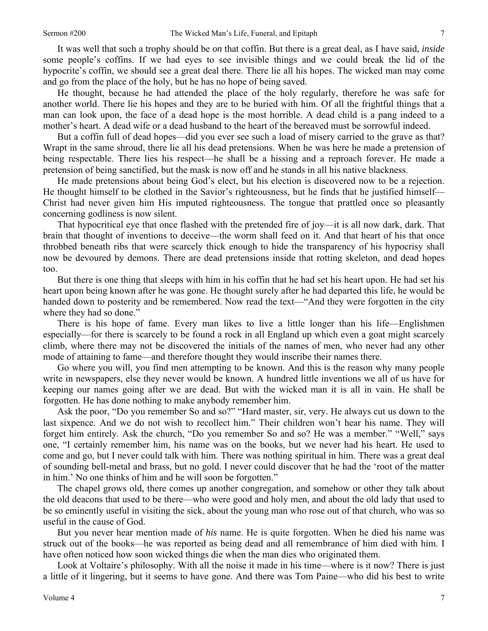It was well that such a trophy should be *on* that coffin. But there is a great deal, as I have said, *inside*  some people's coffins. If we had eyes to see invisible things and we could break the lid of the hypocrite's coffin, we should see a great deal there. There lie all his hopes. The wicked man may come and go from the place of the holy, but he has no hope of being saved.

He thought, because he had attended the place of the holy regularly, therefore he was safe for another world. There lie his hopes and they are to be buried with him. Of all the frightful things that a man can look upon, the face of a dead hope is the most horrible. A dead child is a pang indeed to a mother's heart. A dead wife or a dead husband to the heart of the bereaved must be sorrowful indeed.

But a coffin full of dead hopes—did you ever see such a load of misery carried to the grave as that? Wrapt in the same shroud, there lie all his dead pretensions. When he was here he made a pretension of being respectable. There lies his respect—he shall be a hissing and a reproach forever. He made a pretension of being sanctified, but the mask is now off and he stands in all his native blackness.

He made pretensions about being God's elect, but his election is discovered now to be a rejection. He thought himself to be clothed in the Savior's righteousness, but he finds that he justified himself— Christ had never given him His imputed righteousness. The tongue that prattled once so pleasantly concerning godliness is now silent.

That hypocritical eye that once flashed with the pretended fire of joy—it is all now dark, dark. That brain that thought of inventions to deceive—the worm shall feed on it. And that heart of his that once throbbed beneath ribs that were scarcely thick enough to hide the transparency of his hypocrisy shall now be devoured by demons. There are dead pretensions inside that rotting skeleton, and dead hopes too.

But there is one thing that sleeps with him in his coffin that he had set his heart upon. He had set his heart upon being known after he was gone. He thought surely after he had departed this life, he would be handed down to posterity and be remembered. Now read the text—"And they were forgotten in the city where they had so done."

There is his hope of fame. Every man likes to live a little longer than his life—Englishmen especially—for there is scarcely to be found a rock in all England up which even a goat might scarcely climb, where there may not be discovered the initials of the names of men, who never had any other mode of attaining to fame—and therefore thought they would inscribe their names there.

Go where you will, you find men attempting to be known. And this is the reason why many people write in newspapers, else they never would be known. A hundred little inventions we all of us have for keeping our names going after we are dead. But with the wicked man it is all in vain. He shall be forgotten. He has done nothing to make anybody remember him.

Ask the poor, "Do you remember So and so?" "Hard master, sir, very. He always cut us down to the last sixpence. And we do not wish to recollect him." Their children won't hear his name. They will forget him entirely. Ask the church, "Do you remember So and so? He was a member." "Well," says one, "I certainly remember him, his name was on the books, but we never had his heart. He used to come and go, but I never could talk with him. There was nothing spiritual in him. There was a great deal of sounding bell-metal and brass, but no gold. I never could discover that he had the 'root of the matter in him.' No one thinks of him and he will soon be forgotten."

The chapel grows old, there comes up another congregation, and somehow or other they talk about the old deacons that used to be there—who were good and holy men, and about the old lady that used to be so eminently useful in visiting the sick, about the young man who rose out of that church, who was so useful in the cause of God.

But you never hear mention made of *his* name. He is quite forgotten. When he died his name was struck out of the books—he was reported as being dead and all remembrance of him died with him. I have often noticed how soon wicked things die when the man dies who originated them.

Look at Voltaire's philosophy. With all the noise it made in his time—where is it now? There is just a little of it lingering, but it seems to have gone. And there was Tom Paine—who did his best to write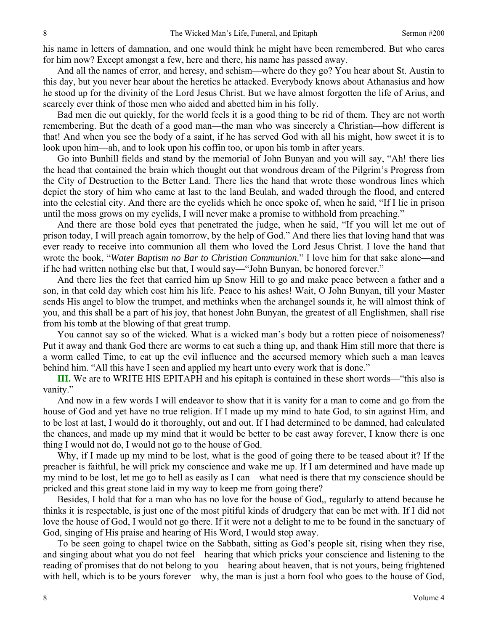his name in letters of damnation, and one would think he might have been remembered. But who cares for him now? Except amongst a few, here and there, his name has passed away.

And all the names of error, and heresy, and schism—where do they go? You hear about St. Austin to this day, but you never hear about the heretics he attacked. Everybody knows about Athanasius and how he stood up for the divinity of the Lord Jesus Christ. But we have almost forgotten the life of Arius, and scarcely ever think of those men who aided and abetted him in his folly.

Bad men die out quickly, for the world feels it is a good thing to be rid of them. They are not worth remembering. But the death of a good man—the man who was sincerely a Christian—how different is that! And when you see the body of a saint, if he has served God with all his might, how sweet it is to look upon him—ah, and to look upon his coffin too, or upon his tomb in after years.

Go into Bunhill fields and stand by the memorial of John Bunyan and you will say, "Ah! there lies the head that contained the brain which thought out that wondrous dream of the Pilgrim's Progress from the City of Destruction to the Better Land. There lies the hand that wrote those wondrous lines which depict the story of him who came at last to the land Beulah, and waded through the flood, and entered into the celestial city. And there are the eyelids which he once spoke of, when he said, "If I lie in prison until the moss grows on my eyelids, I will never make a promise to withhold from preaching."

And there are those bold eyes that penetrated the judge, when he said, "If you will let me out of prison today, I will preach again tomorrow, by the help of God." And there lies that loving hand that was ever ready to receive into communion all them who loved the Lord Jesus Christ. I love the hand that wrote the book, "*Water Baptism no Bar to Christian Communion*." I love him for that sake alone—and if he had written nothing else but that, I would say—"John Bunyan, be honored forever."

And there lies the feet that carried him up Snow Hill to go and make peace between a father and a son, in that cold day which cost him his life. Peace to his ashes! Wait, O John Bunyan, till your Master sends His angel to blow the trumpet, and methinks when the archangel sounds it, he will almost think of you, and this shall be a part of his joy, that honest John Bunyan, the greatest of all Englishmen, shall rise from his tomb at the blowing of that great trump.

You cannot say so of the wicked. What is a wicked man's body but a rotten piece of noisomeness? Put it away and thank God there are worms to eat such a thing up, and thank Him still more that there is a worm called Time, to eat up the evil influence and the accursed memory which such a man leaves behind him. "All this have I seen and applied my heart unto every work that is done."

**III.** We are to WRITE HIS EPITAPH and his epitaph is contained in these short words—"this also is vanity."

And now in a few words I will endeavor to show that it is vanity for a man to come and go from the house of God and yet have no true religion. If I made up my mind to hate God, to sin against Him, and to be lost at last, I would do it thoroughly, out and out. If I had determined to be damned, had calculated the chances, and made up my mind that it would be better to be cast away forever, I know there is one thing I would not do, I would not go to the house of God.

Why, if I made up my mind to be lost, what is the good of going there to be teased about it? If the preacher is faithful, he will prick my conscience and wake me up. If I am determined and have made up my mind to be lost, let me go to hell as easily as I can—what need is there that my conscience should be pricked and this great stone laid in my way to keep me from going there?

Besides, I hold that for a man who has no love for the house of God,, regularly to attend because he thinks it is respectable, is just one of the most pitiful kinds of drudgery that can be met with. If I did not love the house of God, I would not go there. If it were not a delight to me to be found in the sanctuary of God, singing of His praise and hearing of His Word, I would stop away.

To be seen going to chapel twice on the Sabbath, sitting as God's people sit, rising when they rise, and singing about what you do not feel—hearing that which pricks your conscience and listening to the reading of promises that do not belong to you—hearing about heaven, that is not yours, being frightened with hell, which is to be yours forever—why, the man is just a born fool who goes to the house of God,